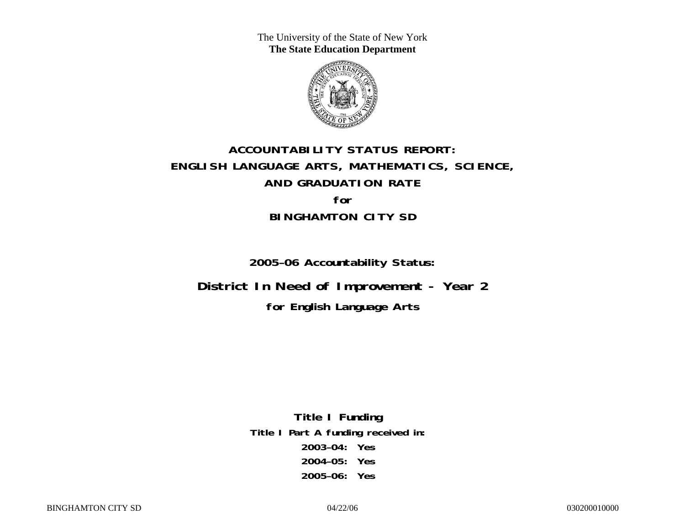The University of the State of New York **The State Education Department** 



# **ACCOUNTABILITY STATUS REPORT: ENGLISH LANGUAGE ARTS, MATHEMATICS, SCIENCE, AND GRADUATION RATE for BINGHAMTON CITY SD**

**2005–06 Accountability Status:** 

**District In Need of Improvement - Year 2 for English Language Arts**

> **Title I Funding Title I Part A funding received in: 2003–04: Yes 2004–05: Yes 2005–06: Yes**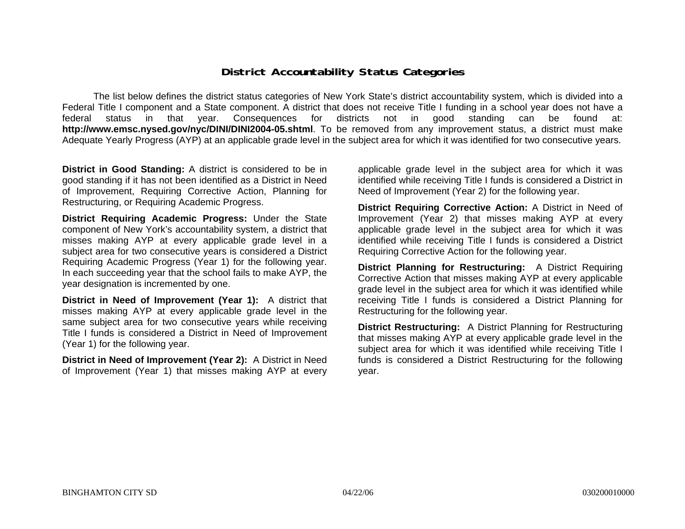### **District Accountability Status Categories**

The list below defines the district status categories of New York State's district accountability system, which is divided into a Federal Title I component and a State component. A district that does not receive Title I funding in a school year does not have a federal status in that year. Consequences for districts not in good standing can be found at: **http://www.emsc.nysed.gov/nyc/DINI/DINI2004-05.shtml**. To be removed from any improvement status, a district must make Adequate Yearly Progress (AYP) at an applicable grade level in the subject area for which it was identified for two consecutive years.

**District in Good Standing:** A district is considered to be in good standing if it has not been identified as a District in Need of Improvement, Requiring Corrective Action, Planning for Restructuring, or Requiring Academic Progress.

**District Requiring Academic Progress:** Under the State component of New York's accountability system, a district that misses making AYP at every applicable grade level in a subject area for two consecutive years is considered a District Requiring Academic Progress (Year 1) for the following year. In each succeeding year that the school fails to make AYP, the year designation is incremented by one.

**District in Need of Improvement (Year 1):** A district that misses making AYP at every applicable grade level in the same subject area for two consecutive years while receiving Title I funds is considered a District in Need of Improvement (Year 1) for the following year.

**District in Need of Improvement (Year 2):** A District in Need of Improvement (Year 1) that misses making AYP at every

applicable grade level in the subject area for which it was identified while receiving Title I funds is considered a District in Need of Improvement (Year 2) for the following year.

**District Requiring Corrective Action:** A District in Need of Improvement (Year 2) that misses making AYP at every applicable grade level in the subject area for which it was identified while receiving Title I funds is considered a District Requiring Corrective Action for the following year.

**District Planning for Restructuring:** A District Requiring Corrective Action that misses making AYP at every applicable grade level in the subject area for which it was identified while receiving Title I funds is considered a District Planning for Restructuring for the following year.

**District Restructuring:** A District Planning for Restructuring that misses making AYP at every applicable grade level in the subject area for which it was identified while receiving Title I funds is considered a District Restructuring for the following year.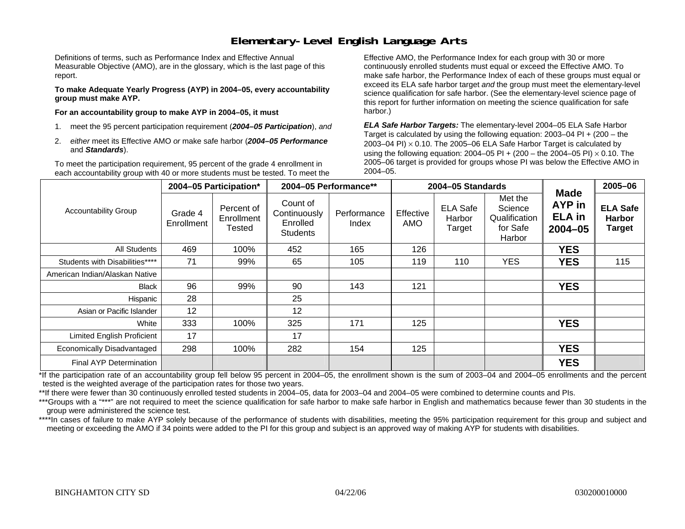### **Elementary-Level English Language Arts**

Definitions of terms, such as Performance Index and Effective Annual Measurable Objective (AMO), are in the glossary, which is the last page of this report.

**To make Adequate Yearly Progress (AYP) in 2004–05, every accountability group must make AYP.** 

**For an accountability group to make AYP in 2004–05, it must** 

- 1. meet the 95 percent participation requirement (*2004–05 Participation*), *and*
- 2. *either* meet its Effective AMO *or* make safe harbor (*2004–05 Performance*  and *Standards*).

To meet the participation requirement, 95 percent of the grade 4 enrollment in each accountability group with 40 or more students must be tested. To meet the

Effective AMO, the Performance Index for each group with 30 or more continuously enrolled students must equal or exceed the Effective AMO. To make safe harbor, the Performance Index of each of these groups must equal or exceed its ELA safe harbor target *and* the group must meet the elementary-level science qualification for safe harbor. (See the elementary-level science page of this report for further information on meeting the science qualification for safe harbor.)

*ELA Safe Harbor Targets:* The elementary-level 2004–05 ELA Safe Harbor Target is calculated by using the following equation: 2003–04 PI + (200 – the 2003–04 PI)  $\times$  0.10. The 2005–06 ELA Safe Harbor Target is calculated by using the following equation: 2004–05 PI + (200 – the 2004–05 PI) × 0.10. The 2005–06 target is provided for groups whose PI was below the Effective AMO in 2004–05.

|                                   |                       | 2004-05 Participation*             |                                                         | 2004-05 Performance** |                  | 2004-05 Standards                   |                                                           |                                                       | 2005-06                                           |
|-----------------------------------|-----------------------|------------------------------------|---------------------------------------------------------|-----------------------|------------------|-------------------------------------|-----------------------------------------------------------|-------------------------------------------------------|---------------------------------------------------|
| <b>Accountability Group</b>       | Grade 4<br>Enrollment | Percent of<br>Enrollment<br>Tested | Count of<br>Continuously<br>Enrolled<br><b>Students</b> | Performance<br>Index  | Effective<br>AMO | <b>ELA Safe</b><br>Harbor<br>Target | Met the<br>Science<br>Qualification<br>for Safe<br>Harbor | <b>Made</b><br>AYP in<br><b>ELA</b> in<br>$2004 - 05$ | <b>ELA Safe</b><br><b>Harbor</b><br><b>Target</b> |
| All Students                      | 469                   | 100%                               | 452                                                     | 165                   | 126              |                                     |                                                           | <b>YES</b>                                            |                                                   |
| Students with Disabilities****    | 71                    | 99%                                | 65                                                      | 105                   | 119              | 110                                 | <b>YES</b>                                                | <b>YES</b>                                            | 115                                               |
| American Indian/Alaskan Native    |                       |                                    |                                                         |                       |                  |                                     |                                                           |                                                       |                                                   |
| <b>Black</b>                      | 96                    | 99%                                | 90                                                      | 143                   | 121              |                                     |                                                           | <b>YES</b>                                            |                                                   |
| Hispanic                          | 28                    |                                    | 25                                                      |                       |                  |                                     |                                                           |                                                       |                                                   |
| Asian or Pacific Islander         | 12                    |                                    | 12                                                      |                       |                  |                                     |                                                           |                                                       |                                                   |
| White                             | 333                   | 100%                               | 325                                                     | 171                   | 125              |                                     |                                                           | <b>YES</b>                                            |                                                   |
| <b>Limited English Proficient</b> | 17                    |                                    | 17                                                      |                       |                  |                                     |                                                           |                                                       |                                                   |
| Economically Disadvantaged        | 298                   | 100%                               | 282                                                     | 154                   | 125              |                                     |                                                           | <b>YES</b>                                            |                                                   |
| Final AYP Determination           |                       |                                    |                                                         |                       |                  |                                     |                                                           | <b>YES</b>                                            |                                                   |

\*If the participation rate of an accountability group fell below 95 percent in 2004–05, the enrollment shown is the sum of 2003–04 and 2004–05 enrollments and the percent tested is the weighted average of the participation rates for those two years.

\*\*If there were fewer than 30 continuously enrolled tested students in 2004–05, data for 2003–04 and 2004–05 were combined to determine counts and PIs.

\*\*\*Groups with a "\*\*\*" are not required to meet the science qualification for safe harbor to make safe harbor in English and mathematics because fewer than 30 students in the group were administered the science test.

\*\*\*\*In cases of failure to make AYP solely because of the performance of students with disabilities, meeting the 95% participation requirement for this group and subject and meeting or exceeding the AMO if 34 points were added to the PI for this group and subject is an approved way of making AYP for students with disabilities.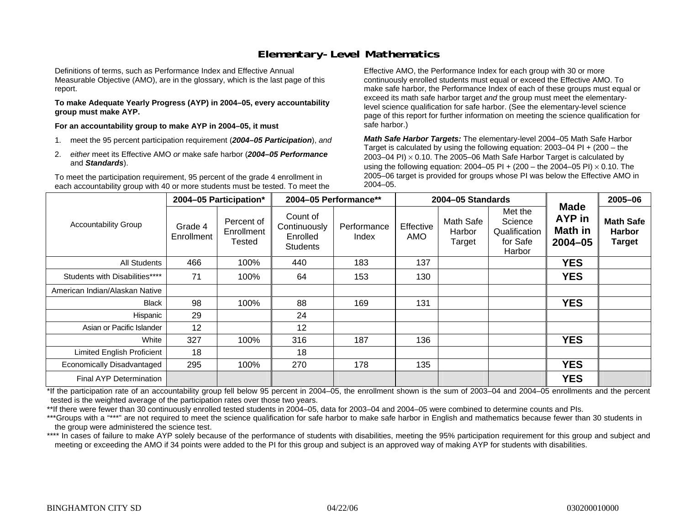### **Elementary-Level Mathematics**

Definitions of terms, such as Performance Index and Effective Annual Measurable Objective (AMO), are in the glossary, which is the last page of this report.

**To make Adequate Yearly Progress (AYP) in 2004–05, every accountability group must make AYP.** 

**For an accountability group to make AYP in 2004–05, it must** 

- 1. meet the 95 percent participation requirement (*2004–05 Participation*), *and*
- 2. *either* meet its Effective AMO *or* make safe harbor (*2004–05 Performance*  and *Standards*).

To meet the participation requirement, 95 percent of the grade 4 enrollment in each accountability group with 40 or more students must be tested. To meet the

Effective AMO, the Performance Index for each group with 30 or more continuously enrolled students must equal or exceed the Effective AMO. To make safe harbor, the Performance Index of each of these groups must equal or exceed its math safe harbor target *and* the group must meet the elementarylevel science qualification for safe harbor. (See the elementary-level science page of this report for further information on meeting the science qualification for safe harbor.)

*Math Safe Harbor Targets:* The elementary-level 2004–05 Math Safe Harbor Target is calculated by using the following equation: 2003–04 PI + (200 – the 2003–04 PI) <sup>×</sup> 0.10. The 2005–06 Math Safe Harbor Target is calculated by using the following equation: 2004–05 PI + (200 – the 2004–05 PI) × 0.10. The 2005–06 target is provided for groups whose PI was below the Effective AMO in 2004–05.

|                                   |                       | 2004-05 Participation*             |                                                         | 2004-05 Performance** |                  | 2004-05 Standards             |                                                           |                                                        | 2005-06                                            |
|-----------------------------------|-----------------------|------------------------------------|---------------------------------------------------------|-----------------------|------------------|-------------------------------|-----------------------------------------------------------|--------------------------------------------------------|----------------------------------------------------|
| <b>Accountability Group</b>       | Grade 4<br>Enrollment | Percent of<br>Enrollment<br>Tested | Count of<br>Continuously<br>Enrolled<br><b>Students</b> | Performance<br>Index  | Effective<br>AMO | Math Safe<br>Harbor<br>Target | Met the<br>Science<br>Qualification<br>for Safe<br>Harbor | <b>Made</b><br>AYP in<br><b>Math in</b><br>$2004 - 05$ | <b>Math Safe</b><br><b>Harbor</b><br><b>Target</b> |
| All Students                      | 466                   | 100%                               | 440                                                     | 183                   | 137              |                               |                                                           | <b>YES</b>                                             |                                                    |
| Students with Disabilities****    | 71                    | 100%                               | 64                                                      | 153                   | 130              |                               |                                                           | <b>YES</b>                                             |                                                    |
| American Indian/Alaskan Native    |                       |                                    |                                                         |                       |                  |                               |                                                           |                                                        |                                                    |
| <b>Black</b>                      | 98                    | 100%                               | 88                                                      | 169                   | 131              |                               |                                                           | <b>YES</b>                                             |                                                    |
| Hispanic                          | 29                    |                                    | 24                                                      |                       |                  |                               |                                                           |                                                        |                                                    |
| Asian or Pacific Islander         | 12                    |                                    | 12                                                      |                       |                  |                               |                                                           |                                                        |                                                    |
| White                             | 327                   | 100%                               | 316                                                     | 187                   | 136              |                               |                                                           | <b>YES</b>                                             |                                                    |
| <b>Limited English Proficient</b> | 18                    |                                    | 18                                                      |                       |                  |                               |                                                           |                                                        |                                                    |
| Economically Disadvantaged        | 295                   | 100%                               | 270                                                     | 178                   | 135              |                               |                                                           | <b>YES</b>                                             |                                                    |
| Final AYP Determination           |                       |                                    |                                                         |                       |                  |                               |                                                           | <b>YES</b>                                             |                                                    |

\*If the participation rate of an accountability group fell below 95 percent in 2004–05, the enrollment shown is the sum of 2003–04 and 2004–05 enrollments and the percent tested is the weighted average of the participation rates over those two years.

\*\*If there were fewer than 30 continuously enrolled tested students in 2004–05, data for 2003–04 and 2004–05 were combined to determine counts and PIs.

\*\*\*Groups with a "\*\*\*" are not required to meet the science qualification for safe harbor to make safe harbor in English and mathematics because fewer than 30 students in the group were administered the science test.

\*\*\*\* In cases of failure to make AYP solely because of the performance of students with disabilities, meeting the 95% participation requirement for this group and subject and meeting or exceeding the AMO if 34 points were added to the PI for this group and subject is an approved way of making AYP for students with disabilities.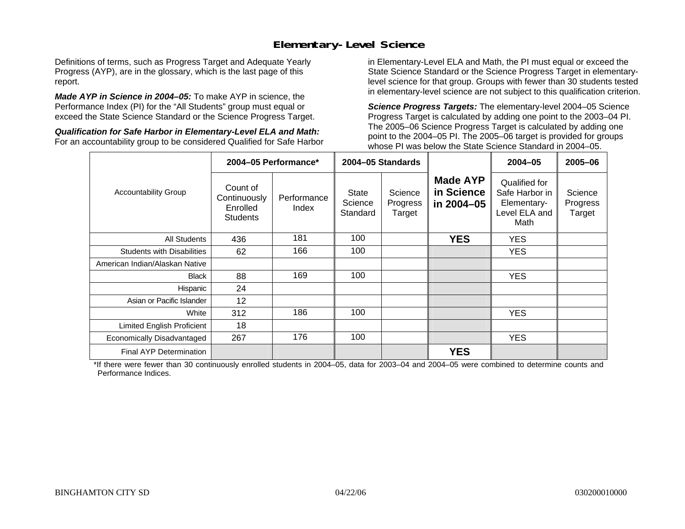### **Elementary-Level Science**

Definitions of terms, such as Progress Target and Adequate Yearly Progress (AYP), are in the glossary, which is the last page of this report.

*Made AYP in Science in 2004–05:* To make AYP in science, the Performance Index (PI) for the "All Students" group must equal or exceed the State Science Standard or the Science Progress Target.

*Qualification for Safe Harbor in Elementary-Level ELA and Math:* For an accountability group to be considered Qualified for Safe Harbor in Elementary-Level ELA and Math, the PI must equal or exceed the State Science Standard or the Science Progress Target in elementarylevel science for that group. Groups with fewer than 30 students tested in elementary-level science are not subject to this qualification criterion.

*Science Progress Targets:* The elementary-level 2004–05 Science Progress Target is calculated by adding one point to the 2003–04 PI. The 2005–06 Science Progress Target is calculated by adding one point to the 2004–05 PI. The 2005–06 target is provided for groups whose PI was below the State Science Standard in 2004–05.

|                                   |                                                         | 2004-05 Performance* |                                     | 2004-05 Standards             |                                             | $2004 - 05$                                                             | $2005 - 06$                   |
|-----------------------------------|---------------------------------------------------------|----------------------|-------------------------------------|-------------------------------|---------------------------------------------|-------------------------------------------------------------------------|-------------------------------|
| <b>Accountability Group</b>       | Count of<br>Continuously<br>Enrolled<br><b>Students</b> | Performance<br>Index | <b>State</b><br>Science<br>Standard | Science<br>Progress<br>Target | <b>Made AYP</b><br>in Science<br>in 2004-05 | Qualified for<br>Safe Harbor in<br>Elementary-<br>Level ELA and<br>Math | Science<br>Progress<br>Target |
| All Students                      | 436                                                     | 181                  | 100                                 |                               | <b>YES</b>                                  | <b>YES</b>                                                              |                               |
| <b>Students with Disabilities</b> | 62                                                      | 166                  | 100                                 |                               |                                             | <b>YES</b>                                                              |                               |
| American Indian/Alaskan Native    |                                                         |                      |                                     |                               |                                             |                                                                         |                               |
| <b>Black</b>                      | 88                                                      | 169                  | 100                                 |                               |                                             | <b>YES</b>                                                              |                               |
| Hispanic                          | 24                                                      |                      |                                     |                               |                                             |                                                                         |                               |
| Asian or Pacific Islander         | $12 \overline{ }$                                       |                      |                                     |                               |                                             |                                                                         |                               |
| White                             | 312                                                     | 186                  | 100                                 |                               |                                             | YES.                                                                    |                               |
| Limited English Proficient        | 18                                                      |                      |                                     |                               |                                             |                                                                         |                               |
| Economically Disadvantaged        | 267                                                     | 176                  | 100                                 |                               |                                             | YES.                                                                    |                               |
| <b>Final AYP Determination</b>    |                                                         |                      |                                     |                               | <b>YES</b>                                  |                                                                         |                               |

\*If there were fewer than 30 continuously enrolled students in 2004–05, data for 2003–04 and 2004–05 were combined to determine counts and Performance Indices.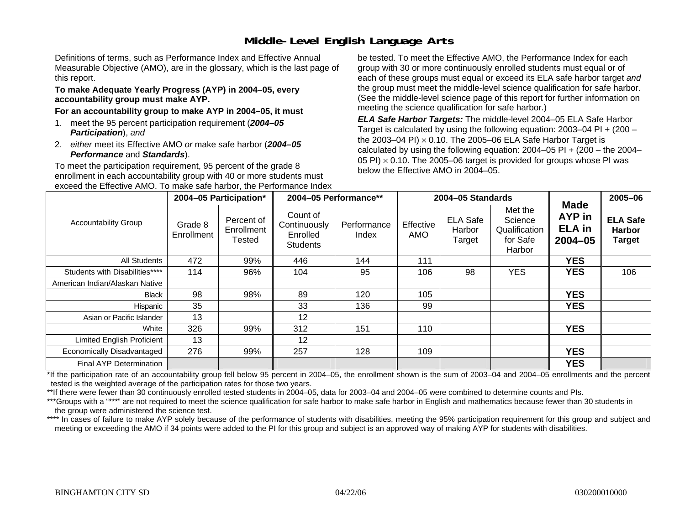# **Middle-Level English Language Arts**

Definitions of terms, such as Performance Index and Effective Annual Measurable Objective (AMO), are in the glossary, which is the last page of this report.

#### **To make Adequate Yearly Progress (AYP) in 2004–05, every accountability group must make AYP.**

#### **For an accountability group to make AYP in 2004–05, it must**

- 1. meet the 95 percent participation requirement (*2004–05 Participation*), *and*
- 2. *either* meet its Effective AMO *or* make safe harbor (*2004–05 Performance* and *Standards*).

To meet the participation requirement, 95 percent of the grade 8 enrollment in each accountability group with 40 or more students must exceed the Effective AMO. To make safe harbor, the Performance Index be tested. To meet the Effective AMO, the Performance Index for each group with 30 or more continuously enrolled students must equal or of each of these groups must equal or exceed its ELA safe harbor target *and* the group must meet the middle-level science qualification for safe harbor. (See the middle-level science page of this report for further information on meeting the science qualification for safe harbor.)

*ELA Safe Harbor Targets:* The middle-level 2004–05 ELA Safe Harbor Target is calculated by using the following equation: 2003–04 PI + (200 – the 2003–04 PI) <sup>×</sup> 0.10. The 2005–06 ELA Safe Harbor Target is calculated by using the following equation:  $2004-05$  PI +  $(200 -$  the  $2004-$ 05 PI)  $\times$  0.10. The 2005–06 target is provided for groups whose PI was below the Effective AMO in 2004–05.

|                                |                       | 2004-05 Participation*                    |                                                         | 2004-05 Performance** |                  | 2004-05 Standards                   |                                                           |                                                       | 2005-06                                           |
|--------------------------------|-----------------------|-------------------------------------------|---------------------------------------------------------|-----------------------|------------------|-------------------------------------|-----------------------------------------------------------|-------------------------------------------------------|---------------------------------------------------|
| <b>Accountability Group</b>    | Grade 8<br>Enrollment | Percent of<br>Enrollment<br><b>Tested</b> | Count of<br>Continuously<br>Enrolled<br><b>Students</b> | Performance<br>Index  | Effective<br>AMO | <b>ELA Safe</b><br>Harbor<br>Target | Met the<br>Science<br>Qualification<br>for Safe<br>Harbor | <b>Made</b><br>AYP in<br><b>ELA in</b><br>$2004 - 05$ | <b>ELA Safe</b><br><b>Harbor</b><br><b>Target</b> |
| All Students                   | 472                   | 99%                                       | 446                                                     | 144                   | 111              |                                     |                                                           | <b>YES</b>                                            |                                                   |
| Students with Disabilities**** | 114                   | 96%                                       | 104                                                     | 95                    | 106              | 98                                  | <b>YES</b>                                                | <b>YES</b>                                            | 106                                               |
| American Indian/Alaskan Native |                       |                                           |                                                         |                       |                  |                                     |                                                           |                                                       |                                                   |
| Black                          | 98                    | 98%                                       | 89                                                      | 120                   | 105              |                                     |                                                           | <b>YES</b>                                            |                                                   |
| Hispanic                       | 35                    |                                           | 33                                                      | 136                   | 99               |                                     |                                                           | <b>YES</b>                                            |                                                   |
| Asian or Pacific Islander      | 13                    |                                           | 12                                                      |                       |                  |                                     |                                                           |                                                       |                                                   |
| White                          | 326                   | 99%                                       | 312                                                     | 151                   | 110              |                                     |                                                           | <b>YES</b>                                            |                                                   |
| Limited English Proficient     | 13                    |                                           | 12                                                      |                       |                  |                                     |                                                           |                                                       |                                                   |
| Economically Disadvantaged     | 276                   | 99%                                       | 257                                                     | 128                   | 109              |                                     |                                                           | <b>YES</b>                                            |                                                   |
| Final AYP Determination        |                       |                                           |                                                         |                       |                  |                                     |                                                           | <b>YES</b>                                            |                                                   |

\*If the participation rate of an accountability group fell below 95 percent in 2004–05, the enrollment shown is the sum of 2003–04 and 2004–05 enrollments and the percent tested is the weighted average of the participation rates for those two years.

\*\*If there were fewer than 30 continuously enrolled tested students in 2004–05, data for 2003–04 and 2004–05 were combined to determine counts and PIs.

\*\*\*Groups with a "\*\*\*" are not required to meet the science qualification for safe harbor to make safe harbor in English and mathematics because fewer than 30 students in the group were administered the science test.

\*\*\*\* In cases of failure to make AYP solely because of the performance of students with disabilities, meeting the 95% participation requirement for this group and subject and meeting or exceeding the AMO if 34 points were added to the PI for this group and subject is an approved way of making AYP for students with disabilities.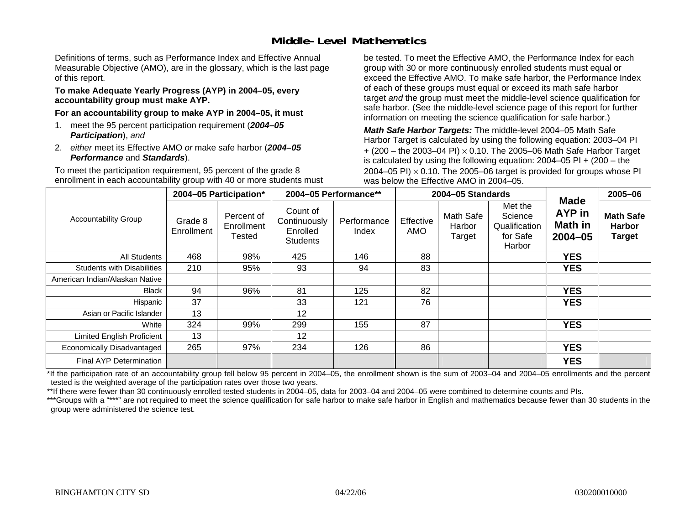### **Middle-Level Mathematics**

Definitions of terms, such as Performance Index and Effective Annual Measurable Objective (AMO), are in the glossary, which is the last page of this report.

#### **To make Adequate Yearly Progress (AYP) in 2004–05, every accountability group must make AYP.**

**For an accountability group to make AYP in 2004–05, it must** 

- 1. meet the 95 percent participation requirement (*2004–05 Participation*), *and*
- 2. *either* meet its Effective AMO *or* make safe harbor (*2004–05 Performance* and *Standards*).

To meet the participation requirement, 95 percent of the grade 8 enrollment in each accountability group with 40 or more students must be tested. To meet the Effective AMO, the Performance Index for each group with 30 or more continuously enrolled students must equal or exceed the Effective AMO. To make safe harbor, the Performance Index of each of these groups must equal or exceed its math safe harbor target *and* the group must meet the middle-level science qualification for safe harbor. (See the middle-level science page of this report for further information on meeting the science qualification for safe harbor.)

*Math Safe Harbor Targets:* The middle-level 2004–05 Math Safe Harbor Target is calculated by using the following equation: 2003–04 PI + (200 – the 2003–04 PI) <sup>×</sup> 0.10. The 2005–06 Math Safe Harbor Target is calculated by using the following equation: 2004–05 PI + (200 – the 2004–05 PI)  $\times$  0.10. The 2005–06 target is provided for groups whose PI was below the Effective AMO in 2004–05.

|                                   |                       | 2004-05 Participation*             |                                                         | 2004-05 Performance** |                  | 2004-05 Standards             |                                                           |                                                               | 2005-06                                            |
|-----------------------------------|-----------------------|------------------------------------|---------------------------------------------------------|-----------------------|------------------|-------------------------------|-----------------------------------------------------------|---------------------------------------------------------------|----------------------------------------------------|
| <b>Accountability Group</b>       | Grade 8<br>Enrollment | Percent of<br>Enrollment<br>Tested | Count of<br>Continuously<br>Enrolled<br><b>Students</b> | Performance<br>Index  | Effective<br>AMO | Math Safe<br>Harbor<br>Target | Met the<br>Science<br>Qualification<br>for Safe<br>Harbor | <b>Made</b><br><b>AYP</b> in<br><b>Math in</b><br>$2004 - 05$ | <b>Math Safe</b><br><b>Harbor</b><br><b>Target</b> |
| <b>All Students</b>               | 468                   | 98%                                | 425                                                     | 146                   | 88               |                               |                                                           | <b>YES</b>                                                    |                                                    |
| <b>Students with Disabilities</b> | 210                   | 95%                                | 93                                                      | 94                    | 83               |                               |                                                           | <b>YES</b>                                                    |                                                    |
| American Indian/Alaskan Native    |                       |                                    |                                                         |                       |                  |                               |                                                           |                                                               |                                                    |
| <b>Black</b>                      | 94                    | 96%                                | 81                                                      | 125                   | 82               |                               |                                                           | <b>YES</b>                                                    |                                                    |
| Hispanic                          | 37                    |                                    | 33                                                      | 121                   | 76               |                               |                                                           | <b>YES</b>                                                    |                                                    |
| Asian or Pacific Islander         | 13                    |                                    | 12                                                      |                       |                  |                               |                                                           |                                                               |                                                    |
| White                             | 324                   | 99%                                | 299                                                     | 155                   | 87               |                               |                                                           | <b>YES</b>                                                    |                                                    |
| Limited English Proficient        | 13                    |                                    | $12 \,$                                                 |                       |                  |                               |                                                           |                                                               |                                                    |
| Economically Disadvantaged        | 265                   | 97%                                | 234                                                     | 126                   | 86               |                               |                                                           | <b>YES</b>                                                    |                                                    |
| <b>Final AYP Determination</b>    |                       |                                    |                                                         |                       |                  |                               |                                                           | <b>YES</b>                                                    |                                                    |

\*If the participation rate of an accountability group fell below 95 percent in 2004–05, the enrollment shown is the sum of 2003–04 and 2004–05 enrollments and the percent tested is the weighted average of the participation rates over those two years.

\*\*If there were fewer than 30 continuously enrolled tested students in 2004–05, data for 2003–04 and 2004–05 were combined to determine counts and PIs.

\*\*\*Groups with a "\*\*\*" are not required to meet the science qualification for safe harbor to make safe harbor in English and mathematics because fewer than 30 students in the group were administered the science test.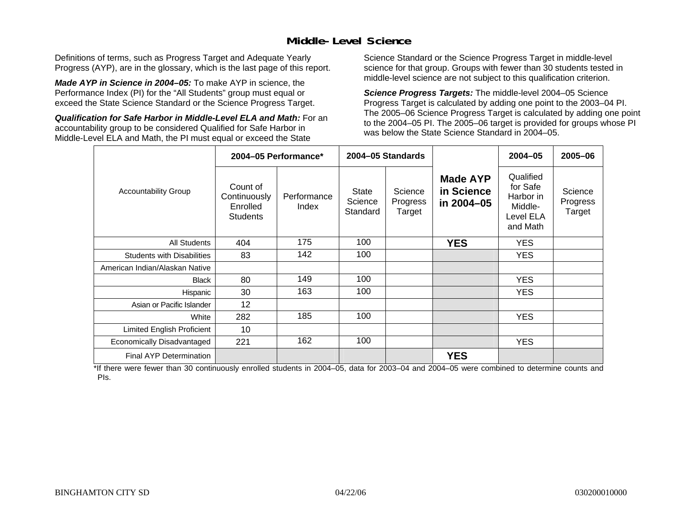### **Middle-Level Science**

Definitions of terms, such as Progress Target and Adequate Yearly Progress (AYP), are in the glossary, which is the last page of this report.

*Made AYP in Science in 2004–05:* To make AYP in science, the Performance Index (PI) for the "All Students" group must equal or exceed the State Science Standard or the Science Progress Target.

*Qualification for Safe Harbor in Middle-Level ELA and Math:* For an accountability group to be considered Qualified for Safe Harbor in Middle-Level ELA and Math, the PI must equal or exceed the State

Science Standard or the Science Progress Target in middle-level science for that group. Groups with fewer than 30 students tested in middle-level science are not subject to this qualification criterion.

*Science Progress Targets:* The middle-level 2004–05 Science Progress Target is calculated by adding one point to the 2003–04 PI. The 2005–06 Science Progress Target is calculated by adding one point to the 2004–05 PI. The 2005–06 target is provided for groups whose PI was below the State Science Standard in 2004–05.

|                                   |                                                         | 2004-05 Performance* |                              | 2004-05 Standards             |                                             | $2004 - 05$                                                            | 2005-06                       |
|-----------------------------------|---------------------------------------------------------|----------------------|------------------------------|-------------------------------|---------------------------------------------|------------------------------------------------------------------------|-------------------------------|
| <b>Accountability Group</b>       | Count of<br>Continuously<br>Enrolled<br><b>Students</b> | Performance<br>Index | State<br>Science<br>Standard | Science<br>Progress<br>Target | <b>Made AYP</b><br>in Science<br>in 2004-05 | Qualified<br>for Safe<br>Harbor in<br>Middle-<br>Level ELA<br>and Math | Science<br>Progress<br>Target |
| <b>All Students</b>               | 404                                                     | 175                  | 100                          |                               | <b>YES</b>                                  | <b>YES</b>                                                             |                               |
| <b>Students with Disabilities</b> | 83                                                      | 142                  | 100                          |                               |                                             | <b>YES</b>                                                             |                               |
| American Indian/Alaskan Native    |                                                         |                      |                              |                               |                                             |                                                                        |                               |
| <b>Black</b>                      | 80                                                      | 149                  | 100                          |                               |                                             | <b>YES</b>                                                             |                               |
| Hispanic                          | 30                                                      | 163                  | 100                          |                               |                                             | <b>YES</b>                                                             |                               |
| Asian or Pacific Islander         | 12                                                      |                      |                              |                               |                                             |                                                                        |                               |
| White                             | 282                                                     | 185                  | 100                          |                               |                                             | <b>YES</b>                                                             |                               |
| Limited English Proficient        | 10                                                      |                      |                              |                               |                                             |                                                                        |                               |
| Economically Disadvantaged        | 221                                                     | 162                  | 100                          |                               |                                             | <b>YES</b>                                                             |                               |
| <b>Final AYP Determination</b>    |                                                         |                      |                              |                               | <b>YES</b>                                  |                                                                        |                               |

\*If there were fewer than 30 continuously enrolled students in 2004–05, data for 2003–04 and 2004–05 were combined to determine counts and PIs.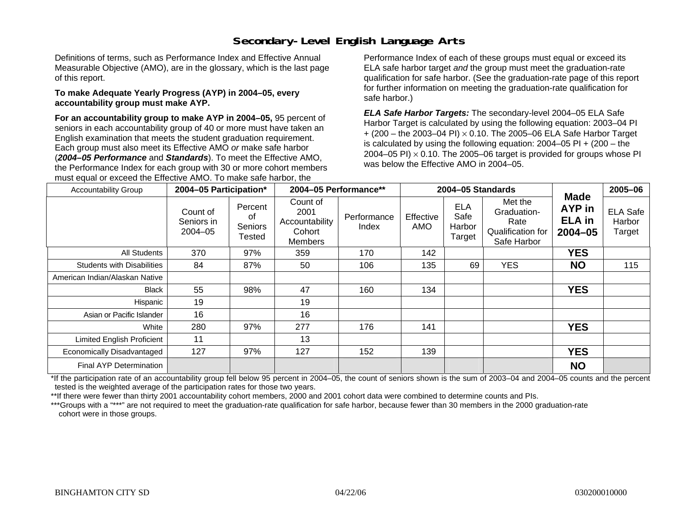# **Secondary-Level English Language Arts**

Definitions of terms, such as Performance Index and Effective Annual Measurable Objective (AMO), are in the glossary, which is the last page of this report.

#### **To make Adequate Yearly Progress (AYP) in 2004–05, every accountability group must make AYP.**

**For an accountability group to make AYP in 2004–05,** 95 percent of seniors in each accountability group of 40 or more must have taken an English examination that meets the student graduation requirement. Each group must also meet its Effective AMO *or* make safe harbor (*2004–05 Performance* and *Standards*). To meet the Effective AMO, the Performance Index for each group with 30 or more cohort members must equal or exceed the Effective AMO. To make safe harbor, the

Performance Index of each of these groups must equal or exceed its ELA safe harbor target *and* the group must meet the graduation-rate qualification for safe harbor. (See the graduation-rate page of this report for further information on meeting the graduation-rate qualification for safe harbor.)

*ELA Safe Harbor Targets:* The secondary-level 2004–05 ELA Safe Harbor Target is calculated by using the following equation: 2003–04 PI + (200 – the 2003–04 PI) <sup>×</sup> 0.10. The 2005–06 ELA Safe Harbor Target is calculated by using the following equation:  $2004-05$  PI  $+$  (200 – the 2004–05 PI)  $\times$  0.10. The 2005–06 target is provided for groups whose PI was below the Effective AMO in 2004–05.

| <b>Accountability Group</b>       | 2004-05 Participation*                |                                    | 2004-05 Performance**                                   |                      |                  | 2004-05 Standards                      |                                                                    |                                                       | 2005-06                             |
|-----------------------------------|---------------------------------------|------------------------------------|---------------------------------------------------------|----------------------|------------------|----------------------------------------|--------------------------------------------------------------------|-------------------------------------------------------|-------------------------------------|
|                                   | Count of<br>Seniors in<br>$2004 - 05$ | Percent<br>οf<br>Seniors<br>Tested | Count of<br>2001<br>Accountability<br>Cohort<br>Members | Performance<br>Index | Effective<br>AMO | <b>ELA</b><br>Safe<br>Harbor<br>Target | Met the<br>Graduation-<br>Rate<br>Qualification for<br>Safe Harbor | <b>Made</b><br>AYP in<br><b>ELA</b> in<br>$2004 - 05$ | <b>ELA Safe</b><br>Harbor<br>Target |
| All Students                      | 370                                   | 97%                                | 359                                                     | 170                  | 142              |                                        |                                                                    | <b>YES</b>                                            |                                     |
| <b>Students with Disabilities</b> | 84                                    | 87%                                | 50                                                      | 106                  | 135              | 69                                     | <b>YES</b>                                                         | <b>NO</b>                                             | 115                                 |
| American Indian/Alaskan Native    |                                       |                                    |                                                         |                      |                  |                                        |                                                                    |                                                       |                                     |
| <b>Black</b>                      | 55                                    | 98%                                | 47                                                      | 160                  | 134              |                                        |                                                                    | <b>YES</b>                                            |                                     |
| Hispanic                          | 19                                    |                                    | 19                                                      |                      |                  |                                        |                                                                    |                                                       |                                     |
| Asian or Pacific Islander         | 16                                    |                                    | 16                                                      |                      |                  |                                        |                                                                    |                                                       |                                     |
| White                             | 280                                   | 97%                                | 277                                                     | 176                  | 141              |                                        |                                                                    | <b>YES</b>                                            |                                     |
| <b>Limited English Proficient</b> | 11                                    |                                    | 13                                                      |                      |                  |                                        |                                                                    |                                                       |                                     |
| Economically Disadvantaged        | 127                                   | 97%                                | 127                                                     | 152                  | 139              |                                        |                                                                    | <b>YES</b>                                            |                                     |
| Final AYP Determination           |                                       |                                    |                                                         |                      |                  |                                        |                                                                    | <b>NO</b>                                             |                                     |

\*If the participation rate of an accountability group fell below 95 percent in 2004–05, the count of seniors shown is the sum of 2003–04 and 2004–05 counts and the percent tested is the weighted average of the participation rates for those two years.

\*\*If there were fewer than thirty 2001 accountability cohort members, 2000 and 2001 cohort data were combined to determine counts and PIs.

\*\*\*Groups with a "\*\*\*" are not required to meet the graduation-rate qualification for safe harbor, because fewer than 30 members in the 2000 graduation-rate cohort were in those groups.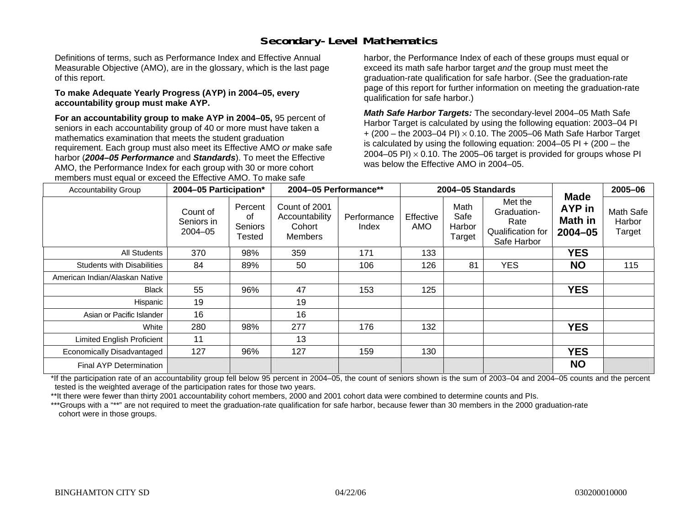# **Secondary-Level Mathematics**

Definitions of terms, such as Performance Index and Effective Annual Measurable Objective (AMO), are in the glossary, which is the last page of this report.

#### **To make Adequate Yearly Progress (AYP) in 2004–05, every accountability group must make AYP.**

**For an accountability group to make AYP in 2004–05,** 95 percent of seniors in each accountability group of 40 or more must have taken a mathematics examination that meets the student graduation requirement. Each group must also meet its Effective AMO *or* make safe harbor (*2004–05 Performance* and *Standards*). To meet the Effective AMO, the Performance Index for each group with 30 or more cohort members must equal or exceed the Effective AMO. To make safe

harbor, the Performance Index of each of these groups must equal or exceed its math safe harbor target *and* the group must meet the graduation-rate qualification for safe harbor. (See the graduation-rate page of this report for further information on meeting the graduation-rate qualification for safe harbor.)

*Math Safe Harbor Targets:* The secondary-level 2004–05 Math Safe Harbor Target is calculated by using the following equation: 2003–04 PI + (200 – the 2003–04 PI) <sup>×</sup> 0.10. The 2005–06 Math Safe Harbor Target is calculated by using the following equation: 2004–05 PI + (200 – the 2004–05 PI)  $\times$  0.10. The 2005–06 target is provided for groups whose PI was below the Effective AMO in 2004–05.

| <b>Accountability Group</b>       | 2004-05 Participation*                |                                           | 2004-05 Performance**                                       |                      |                  | 2004-05 Standards                |                                                                    |                                                 | 2005-06                       |
|-----------------------------------|---------------------------------------|-------------------------------------------|-------------------------------------------------------------|----------------------|------------------|----------------------------------|--------------------------------------------------------------------|-------------------------------------------------|-------------------------------|
|                                   | Count of<br>Seniors in<br>$2004 - 05$ | Percent<br>οf<br><b>Seniors</b><br>Tested | Count of 2001<br>Accountability<br>Cohort<br><b>Members</b> | Performance<br>Index | Effective<br>AMO | Math<br>Safe<br>Harbor<br>Target | Met the<br>Graduation-<br>Rate<br>Qualification for<br>Safe Harbor | Made<br>AYP in<br><b>Math in</b><br>$2004 - 05$ | Math Safe<br>Harbor<br>Target |
| All Students                      | 370                                   | 98%                                       | 359                                                         | 171                  | 133              |                                  |                                                                    | <b>YES</b>                                      |                               |
| <b>Students with Disabilities</b> | 84                                    | 89%                                       | 50                                                          | 106                  | 126              | 81                               | <b>YES</b>                                                         | <b>NO</b>                                       | 115                           |
| American Indian/Alaskan Native    |                                       |                                           |                                                             |                      |                  |                                  |                                                                    |                                                 |                               |
| <b>Black</b>                      | 55                                    | 96%                                       | 47                                                          | 153                  | 125              |                                  |                                                                    | <b>YES</b>                                      |                               |
| Hispanic                          | 19                                    |                                           | 19                                                          |                      |                  |                                  |                                                                    |                                                 |                               |
| Asian or Pacific Islander         | 16                                    |                                           | 16                                                          |                      |                  |                                  |                                                                    |                                                 |                               |
| White                             | 280                                   | 98%                                       | 277                                                         | 176                  | 132              |                                  |                                                                    | <b>YES</b>                                      |                               |
| <b>Limited English Proficient</b> | 11                                    |                                           | 13                                                          |                      |                  |                                  |                                                                    |                                                 |                               |
| Economically Disadvantaged        | 127                                   | 96%                                       | 127                                                         | 159                  | 130              |                                  |                                                                    | <b>YES</b>                                      |                               |
| Final AYP Determination           |                                       |                                           |                                                             |                      |                  |                                  |                                                                    | <b>NO</b>                                       |                               |

\*If the participation rate of an accountability group fell below 95 percent in 2004–05, the count of seniors shown is the sum of 2003–04 and 2004–05 counts and the percent tested is the weighted average of the participation rates for those two years.

\*\*It there were fewer than thirty 2001 accountability cohort members, 2000 and 2001 cohort data were combined to determine counts and PIs.

\*\*\*Groups with a "\*\*" are not required to meet the graduation-rate qualification for safe harbor, because fewer than 30 members in the 2000 graduation-rate cohort were in those groups.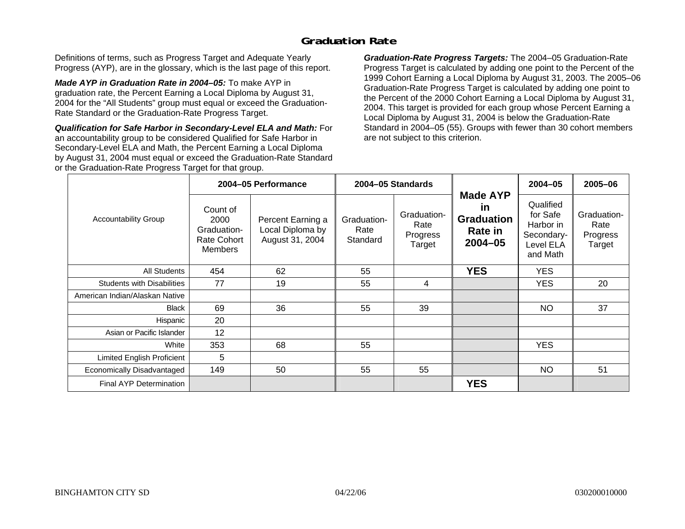### **Graduation Rate**

Definitions of terms, such as Progress Target and Adequate Yearly Progress (AYP), are in the glossary, which is the last page of this report.

*Made AYP in Graduation Rate in 2004–05:* To make AYP in graduation rate, the Percent Earning a Local Diploma by August 31, 2004 for the "All Students" group must equal or exceed the Graduation-Rate Standard or the Graduation-Rate Progress Target.

*Qualification for Safe Harbor in Secondary-Level ELA and Math:* For an accountability group to be considered Qualified for Safe Harbor in Secondary-Level ELA and Math, the Percent Earning a Local Diploma by August 31, 2004 must equal or exceed the Graduation-Rate Standard or the Graduation-Rate Progress Target for that group.

*Graduation-Rate Progress Targets:* The 2004–05 Graduation-Rate Progress Target is calculated by adding one point to the Percent of the 1999 Cohort Earning a Local Diploma by August 31, 2003. The 2005–06 Graduation-Rate Progress Target is calculated by adding one point to the Percent of the 2000 Cohort Earning a Local Diploma by August 31, 2004. This target is provided for each group whose Percent Earning a Local Diploma by August 31, 2004 is below the Graduation-Rate Standard in 2004–05 (55). Groups with fewer than 30 cohort members are not subject to this criterion.

|                                   |                                                                         | 2004-05 Performance                                      |                                 | 2004-05 Standards                         |                                                                                    | $2004 - 05$                                                               | 2005-06                                   |
|-----------------------------------|-------------------------------------------------------------------------|----------------------------------------------------------|---------------------------------|-------------------------------------------|------------------------------------------------------------------------------------|---------------------------------------------------------------------------|-------------------------------------------|
| <b>Accountability Group</b>       | Count of<br>2000<br>Graduation-<br><b>Rate Cohort</b><br><b>Members</b> | Percent Earning a<br>Local Diploma by<br>August 31, 2004 | Graduation-<br>Rate<br>Standard | Graduation-<br>Rate<br>Progress<br>Target | <b>Made AYP</b><br><u>in</u><br><b>Graduation</b><br><b>Rate in</b><br>$2004 - 05$ | Qualified<br>for Safe<br>Harbor in<br>Secondary-<br>Level ELA<br>and Math | Graduation-<br>Rate<br>Progress<br>Target |
| <b>All Students</b>               | 454                                                                     | 62                                                       | 55                              |                                           | <b>YES</b>                                                                         | YES.                                                                      |                                           |
| <b>Students with Disabilities</b> | 77                                                                      | 19                                                       | 55                              | 4                                         |                                                                                    | YES.                                                                      | 20                                        |
| American Indian/Alaskan Native    |                                                                         |                                                          |                                 |                                           |                                                                                    |                                                                           |                                           |
| <b>Black</b>                      | 69                                                                      | 36                                                       | 55                              | 39                                        |                                                                                    | <b>NO</b>                                                                 | 37                                        |
| Hispanic                          | 20                                                                      |                                                          |                                 |                                           |                                                                                    |                                                                           |                                           |
| Asian or Pacific Islander         | 12                                                                      |                                                          |                                 |                                           |                                                                                    |                                                                           |                                           |
| White                             | 353                                                                     | 68                                                       | 55                              |                                           |                                                                                    | <b>YES</b>                                                                |                                           |
| Limited English Proficient        | 5                                                                       |                                                          |                                 |                                           |                                                                                    |                                                                           |                                           |
| Economically Disadvantaged        | 149                                                                     | 50                                                       | 55                              | 55                                        |                                                                                    | <b>NO</b>                                                                 | 51                                        |
| <b>Final AYP Determination</b>    |                                                                         |                                                          |                                 |                                           | <b>YES</b>                                                                         |                                                                           |                                           |